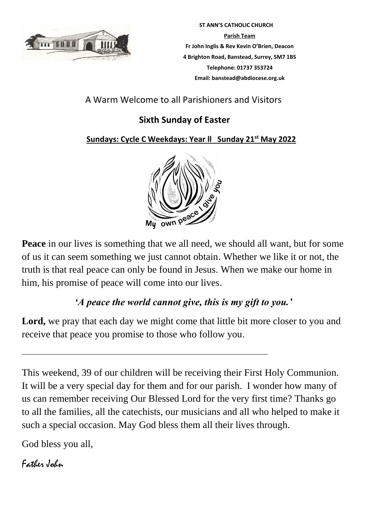

 **ST ANN'S CATHOLIC CHURCH Parish Team Fr John Inglis & Rev Kevin O'Brien, Deacon 4 Brighton Road, Banstead, Surrey, SM7 1BS Telephone: 01737 353724 Email: banstead@abdiocese.org.uk**

## A Warm Welcome to all Parishioners and Visitors

# **Sixth Sunday of Easter**

 **Sundays: Cycle C Weekdays: Year ll Sunday 21st May 2022**



**Peace** in our lives is something that we all need, we should all want, but for some of us it can seem something we just cannot obtain. Whether we like it or not, the truth is that real peace can only be found in Jesus. When we make our home in him, his promise of peace will come into our lives.

## *'A peace the world cannot give, this is my gift to you.'*

Lord, we pray that each day we might come that little bit more closer to you and receive that peace you promise to those who follow you.

 $\overline{\phantom{a}}$  , and the contract of the contract of the contract of the contract of the contract of the contract of the contract of the contract of the contract of the contract of the contract of the contract of the contrac

This weekend, 39 of our children will be receiving their First Holy Communion. It will be a very special day for them and for our parish. I wonder how many of us can remember receiving Our Blessed Lord for the very first time? Thanks go to all the families, all the catechists, our musicians and all who helped to make it such a special occasion. May God bless them all their lives through.

God bless you all,

# Father John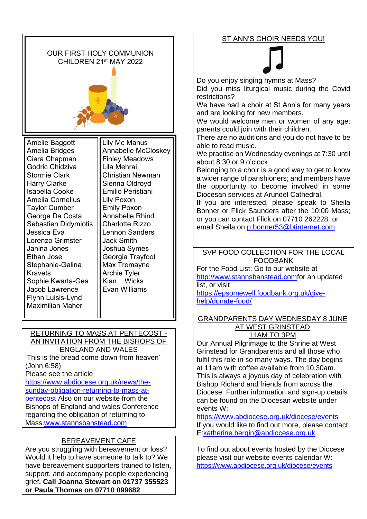

#### RETURNING TO MASS AT PENTECOST - AN INVITATION FROM THE BISHOPS OF ENGLAND AND WALES

'This is the bread come down from heaven' (John 6:58)

Please see the article

[https://www.abdiocese.org.uk/news/the](https://www.abdiocese.org.uk/news/the-sunday-obligation-returning-to-mass-at-pentecost)[sunday-obligation-returning-to-mass-at](https://www.abdiocese.org.uk/news/the-sunday-obligation-returning-to-mass-at-pentecost)[pentecost](https://www.abdiocese.org.uk/news/the-sunday-obligation-returning-to-mass-at-pentecost) Also on our website from the Bishops of England and wales Conference regarding the obligation of returning to Mass[.www.stannsbanstead.com](http://www.stannsbanstead.com/)

## BEREAVEMENT CAFE

Are you struggling with bereavement or loss? Would it help to have someone to talk to? We have bereavement supporters trained to listen, support, and accompany people experiencing grief**. Call Joanna Stewart on 01737 355523 or Paula Thomas on 07710 099682** 

Bishop Richard and friends from across the Diocese. Further information and sign-up details can be found on the Diocesan website under events W:

11AM TO 3PM Our Annual Pilgrimage to the Shrine at West Grinstead for Grandparents and all those who fulfil this role in so many ways. The day begins at 11am with coffee available from 10.30am. This is always a joyous day of celebration with

<https://www.abdiocese.org.uk/diocese/events> If you would like to find out more, please contact E[:katherine.bergin@abdiocese.org.uk](mailto:katherine.bergin@abdiocese.org.uk)

To find out about events hosted by the Diocese please visit our website events calendar W: <https://www.abdiocese.org.uk/diocese/events>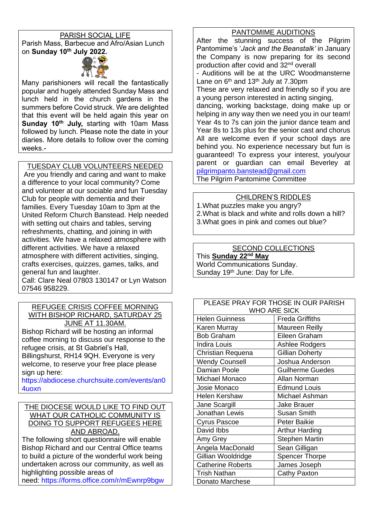### PARISH SOCIAL LIFE

Parish Mass, Barbecue and Afro/Asian Lunch on **Sunday 10th July 2022.**



Many parishioners will recall the fantastically popular and hugely attended Sunday Mass and lunch held in the church gardens in the summers before Covid struck. We are delighted that this event will be held again this year on **Sunday 10th July,** starting with 10am Mass followed by lunch. Please note the date in your diaries. More details to follow over the coming weeks.-

TUESDAY CLUB VOLUNTEERS NEEDED

Are you friendly and caring and want to make a difference to your local community? Come and volunteer at our sociable and fun Tuesday Club for people with dementia and their families. Every Tuesday 10am to 3pm at the United Reform Church Banstead. Help needed with setting out chairs and tables, serving refreshments, chatting, and joining in with activities. We have a relaxed atmosphere with different activities. We have a relaxed atmosphere with different activities, singing, crafts exercises, quizzes, games, talks, and general fun and laughter.

Call: Clare Neal 07803 130147 or Lyn Watson 07546 958229.

#### REFUGEE CRISIS COFFEE MORNING WITH BISHOP RICHARD, SATURDAY 25 JUNE AT 11.30AM.

Bishop Richard will be hosting an informal coffee morning to discuss our response to the refugee crisis, at St Gabriel's Hall, Billingshurst, RH14 9QH. Everyone is very

welcome, to reserve your free place please sign up here:

[https://abdiocese.churchsuite.com/events/an0](https://abdiocese.churchsuite.com/events/an04uoxn) [4uoxn](https://abdiocese.churchsuite.com/events/an04uoxn)

#### THE DIOCESE WOULD LIKE TO FIND OUT WHAT OUR CATHOLIC COMMUNITY IS DOING TO SUPPORT REFUGEES HERE AND ABROAD.

The following short questionnaire will enable Bishop Richard and our Central Office teams to build a picture of the wonderful work being undertaken across our community, as well as highlighting possible areas of

need: <https://forms.office.com/r/mEwnrp9bgw>

### PANTOMIME AUDITIONS

After the stunning success of the Pilgrim Pantomime's '*Jack and the Beanstalk'* in January the Company is now preparing for its second production after covid and 32nd overall - Auditions will be at the URC Woodmansterne Lane on  $6<sup>th</sup>$  and 13<sup>th</sup> July at 7.30pm These are very relaxed and friendly so if you are a young person interested in acting singing, dancing, working backstage, doing make up or helping in any way then we need you in our team! Year 4s to 7s can join the junior dance team and Year 8s to 13s plus for the senior cast and chorus All are welcome even if your school days are behind you. No experience necessary but fun is guaranteed! To express your interest, you/your parent or guardian can email Beverley at [pilgrimpanto.banstead@gmail.com](mailto:pilgrimpanto.banstead@gmail.com)

The Pilgrim Pantomime Committee

## CHILDREN'S RIDDLES

1.What puzzles make you angry? 2.What is black and white and rolls down a hill? 3.What goes in pink and comes out blue?

### SECOND COLLECTIONS

This **Sunday 22nd May** World Communications Sunday. Sunday 19th June: Day for Life.

| PLEASE PRAY FOR THOSE IN OUR PARISH |                         |  |  |
|-------------------------------------|-------------------------|--|--|
| <b>WHO ARE SICK</b>                 |                         |  |  |
| <b>Helen Guinness</b>               | <b>Freda Griffiths</b>  |  |  |
| Karen Murray                        | Maureen Reilly          |  |  |
| <b>Bob Graham</b>                   | Eileen Graham           |  |  |
| <b>Indira Louis</b>                 | Ashlee Rodgers          |  |  |
| Christian Requena                   | <b>Gillian Doherty</b>  |  |  |
| <b>Wendy Counsell</b>               | Joshua Anderson         |  |  |
| <b>Damian Poole</b>                 | <b>Guilherme Guedes</b> |  |  |
| Michael Monaco                      | Allan Norman            |  |  |
| Josie Monaco                        | <b>Edmund Louis</b>     |  |  |
| <b>Helen Kershaw</b>                | Michael Ashman          |  |  |
| Jane Scargill                       | <b>Jake Brauer</b>      |  |  |
| Jonathan Lewis                      | <b>Susan Smith</b>      |  |  |
| <b>Cyrus Pascoe</b>                 | <b>Peter Baikie</b>     |  |  |
| David Ibbs                          | <b>Arthur Harding</b>   |  |  |
| Amy Grey                            | <b>Stephen Martin</b>   |  |  |
| Angela MacDonald                    | Sean Gilligan           |  |  |
| Gillian Wooldridge                  | <b>Spencer Thorpe</b>   |  |  |
| <b>Catherine Roberts</b>            | James Joseph            |  |  |
| <b>Trish Nathan</b>                 | <b>Cathy Paxton</b>     |  |  |
| Donato Marchese                     |                         |  |  |